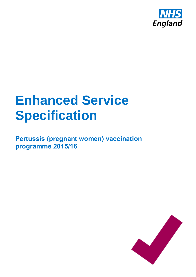

# **Enhanced Service Specification**

**Pertussis (pregnant women) vaccination programme 2015/16**

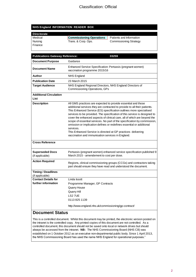#### **NHS England INFORMATION READER BOX**

| <b>Directorate</b> |                                 |                               |
|--------------------|---------------------------------|-------------------------------|
| Medical            | <b>Commissioning Operations</b> | Patients and Information      |
| Nursing            | Trans. & Corp. Ops.             | <b>Commissioning Strategy</b> |
| l Finance          |                                 |                               |
|                    |                                 |                               |

| <b>Publications Gateway Reference:</b>            | 03259                                                                                                                                                                                                                                                                                                                                                                                                                                                                                                                                                                                                                                                           |
|---------------------------------------------------|-----------------------------------------------------------------------------------------------------------------------------------------------------------------------------------------------------------------------------------------------------------------------------------------------------------------------------------------------------------------------------------------------------------------------------------------------------------------------------------------------------------------------------------------------------------------------------------------------------------------------------------------------------------------|
| <b>Document Purpose</b>                           | Guidance                                                                                                                                                                                                                                                                                                                                                                                                                                                                                                                                                                                                                                                        |
| <b>Document Name</b>                              | Enhanced Service Specification: Pertussis (pregnant women)<br>vaccination programme 2015/16                                                                                                                                                                                                                                                                                                                                                                                                                                                                                                                                                                     |
| Author                                            | NHS England                                                                                                                                                                                                                                                                                                                                                                                                                                                                                                                                                                                                                                                     |
| <b>Publication Date</b>                           | 23 March 2015                                                                                                                                                                                                                                                                                                                                                                                                                                                                                                                                                                                                                                                   |
| <b>Target Audience</b>                            | NHS England Regional Directors, NHS England Directors of<br><b>Commissioning Operations, GPs</b>                                                                                                                                                                                                                                                                                                                                                                                                                                                                                                                                                                |
| <b>Additional Circulation</b><br>List             |                                                                                                                                                                                                                                                                                                                                                                                                                                                                                                                                                                                                                                                                 |
| <b>Description</b>                                | All GMS practices are expected to provide essential and those<br>additional services they are contracted to provide to all their patients.<br>This Enhanced Service (ES) specification outlines more specialised<br>services to be provided. The specification of this service is designed to<br>cover the enhanced aspects of clinical care, all of which are beyond the<br>scope of essential services. No part of the specification by commission,<br>omission or implication defines or redefines essential or additional<br>services.<br>This Enhanced Service is directed at GP practices delivering<br>vaccination and immunisation services in England. |
| <b>Cross Reference</b>                            |                                                                                                                                                                                                                                                                                                                                                                                                                                                                                                                                                                                                                                                                 |
| <b>Superseded Docs</b><br>(if applicable)         | Pertussis (pregnant women) enhanced service specification published 9<br>March 2015 - amendement to cost per dose.                                                                                                                                                                                                                                                                                                                                                                                                                                                                                                                                              |
| <b>Action Required</b>                            | Regions, clinical commissioning groups (CCGs) and contractors taking<br>part should ensure they have read and understood the document.                                                                                                                                                                                                                                                                                                                                                                                                                                                                                                                          |
| <b>Timing / Deadlines</b><br>(if applicable)      |                                                                                                                                                                                                                                                                                                                                                                                                                                                                                                                                                                                                                                                                 |
| <b>Contact Details for</b><br>further information | Linda Issott<br>Programme Manager, GP Contracts<br><b>Quarry House</b><br>Quarry Hill<br>LS27UE<br>01138251139<br>http://www.england.nhs.uk/commissioning/gp-contract/                                                                                                                                                                                                                                                                                                                                                                                                                                                                                          |
| 11 Ciaius                                         |                                                                                                                                                                                                                                                                                                                                                                                                                                                                                                                                                                                                                                                                 |

#### **Document Status**

This is a controlled document. Whilst this document may be printed, the electronic version posted on the intranet is the controlled copy. Any printed copies of this document are not controlled. As a controlled document, this document should not be saved onto local or network drives but should always be accessed from the intranet. **NB:** The NHS Commissioning Board (NHS CB) was established on 1 October 2012 as an executive non-departmental public body. Since 1 April 2013, the NHS Commissioning Board has used the name NHS England for operational purposes."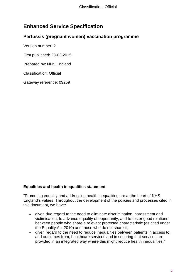### **Enhanced Service Specification**

#### **Pertussis (pregnant women) vaccination programme**

Version number: 2

First published: 23-03-2015

Prepared by: NHS England

Classification: Official

Gateway reference: 03259

#### **Equalities and health inequalities statement**

"Promoting equality and addressing health inequalities are at the heart of NHS England's values. Throughout the development of the policies and processes cited in this document, we have:

- given due regard to the need to eliminate discrimination, harassment and victimisation, to advance equality of opportunity, and to foster good relations between people who share a relevant protected characteristic (as cited under the Equality Act 2010) and those who do not share it;
- given regard to the need to reduce inequalities between patients in access to, and outcomes from, healthcare services and in securing that services are provided in an integrated way where this might reduce health inequalities."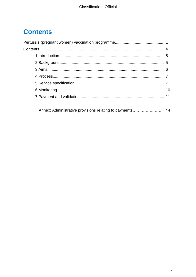# **Contents**

<span id="page-3-0"></span>Annex: Administrative provisions relating to payments.......................... 14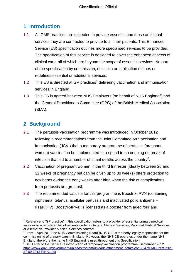## **1 Introduction**

- 1.1 All GMS practices are expected to provide essential and those additional services they are contracted to provide to all their patients. This Enhanced Service (ES) specification outlines more specialised services to be provided. The specification of this service is designed to cover the enhanced aspects of clinical care, all of which are beyond the scope of essential services. No part of the specification by commission, omission or implication defines or redefines essential or additional services.
- 1.2 This ES is directed at GP practices<sup>1</sup> delivering vaccination and immunisation services in England.
- 1.3 This ES is agreed between NHS Employers (on behalf of NHS England<sup>2</sup>) and the General Practitioners Committee (GPC) of the British Medical Association (BMA).

#### <span id="page-4-0"></span>**2 Background**

- 2.1 The pertussis vaccination programme was introduced in October 2012 following a recommendations from the Joint Committee on Vaccination and Immunisation (JCVI) that a temporary programme of pertussis (pregnant women) vaccination be implemented to respond to an ongoing outbreak of infection that led to a number of infant deaths across the country<sup>3</sup>.
- 2.2 Vaccination of pregnant women in the third trimester (ideally between 28 and 32 weeks of pregnancy but can be given up to 38 weeks) offers protection to newborns during the early weeks after birth when the risk of complications from pertussis are greatest.
- 2.3 The recommended vaccine for this programme is Boostrix-IPV® (containing diphtheria, tetanus, acellular pertussis and inactivated polio antigens – dTaP/IPV). Boostrix-IPV® is licensed as a booster from aged four and

 $\overline{a}$  $<sup>1</sup>$  Reference to 'GP practice' in this specification refers to a provider of essential primary medical</sup> services to a registered list of patients under a General Medical Services, Personal Medical Services or Alternative Provider Medical Services contract.<br><sup>2</sup> Fram 1 April 2012 the NHS Commissioning Boo

 $\rm F$  From 1 April 2013 the NHS Commissioning Board (NHS CB) is the body legally responsible for the commissioning of primary care in England. However, the NHS CB operates under the name NHS England, therefore the name NHS England is used throughout this Specification.

DH. Letter to the Service re introduction of temporary vaccination programme. September 2012. [https://www.gov.uk/government/uploads/system/uploads/attachment\\_data/file/212947/CMO-Pertussis-](https://www.gov.uk/government/uploads/system/uploads/attachment_data/file/212947/CMO-Pertussis-27-09-2012-FINAL.pdf)[27-09-2012-FINAL.pdf](https://www.gov.uk/government/uploads/system/uploads/attachment_data/file/212947/CMO-Pertussis-27-09-2012-FINAL.pdf)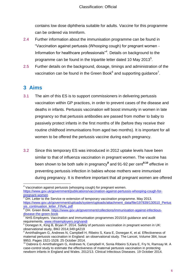contains low dose diphtheria suitable for adults. Vaccine for this programme can be ordered via Immform.

- 2.4 Further information about the immunisation programme can be found in "Vaccination against pertussis (Whooping cough) for pregnant women - Information for healthcare professionals<sup>"4</sup>. Details on background to the programme can be found in the tripartite letter dated 10 May 2013<sup>5</sup>.
- 2.5 Further details on the background, dosage, timings and administration of the vaccination can be found in the Green Book $^6$  and supporting guidance<sup>7</sup>.

#### <span id="page-5-0"></span>**3 Aims**

 $\overline{\phantom{a}}$ 

- 3.1 The aim of this ES is to support commissioners in delivering pertussis vaccination within GP practices, in order to prevent cases of the disease and deaths in infants. Pertussis vaccination will boost immunity in women in late pregnancy so that pertussis antibodies are passed from mother to baby to passively protect infants in the first months of life (before they receive their routine childhood immunisations from aged two months). It is important for all women to be offered the pertussis vaccine during each pregnancy.
- 3.2 Since this temporary ES was introduced in 2012 uptake levels have been similar to that of influenza vaccination in pregnant women. The vaccine has been shown to be both safe in pregnancy**<sup>8</sup>** and 91-92 per cent**<sup>9</sup>**,**<sup>10</sup>** effective in preventing pertussis infection in babies whose mothers were immunised during pregnancy. It is therefore important that all pregnant women are offered

<sup>&</sup>lt;sup>4</sup> Vaccination against pertussis (whooping cough) for pregnant women. [https://www.gov.uk/government/publications/vaccination-against-pertussis-whooping-cough-for](https://www.gov.uk/government/publications/vaccination-against-pertussis-whooping-cough-for-pregnant-women)[pregnant-women](https://www.gov.uk/government/publications/vaccination-against-pertussis-whooping-cough-for-pregnant-women)

 $5$  DH. Letter to the Service re extension of temporary vaccination programme. May 2013. [https://www.gov.uk/government/uploads/system/uploads/attachment\\_data/file/197839/130510\\_Pertus](https://www.gov.uk/government/uploads/system/uploads/attachment_data/file/197839/130510_Pertussis_continuation_letter_FINAL.pdf) [sis\\_continuation\\_letter\\_FINAL.pdf](https://www.gov.uk/government/uploads/system/uploads/attachment_data/file/197839/130510_Pertussis_continuation_letter_FINAL.pdf)

<sup>&</sup>lt;sup>6</sup> DH. Green Book. [https://www.gov.uk/government/collections/immunisation-against-infectious](https://www.gov.uk/government/collections/immunisation-against-infectious-disease-the-green-book)[disease-the-green-book](https://www.gov.uk/government/collections/immunisation-against-infectious-disease-the-green-book)

 $7$  NHS Employers. Vaccination and immunisation programmes 2015/16 guidance and audit requirements. [www.nhsemployers.org/vandi](http://www.nhsemployers.org/vandi)

 $8$  Donegan K, King B, Bryan P. 2014. Safety of pertussis vaccination in pregnant women in UK: observational study, BMJ 2014;349:g4219

<sup>9</sup> Amirthalingam G, Andrews N, Campbell H, Ribeiro S, Kara E, Donegan K, et al. Effectiveness of maternal pertussis vaccination in England: an observational study. The Lancet, Volume 384, Issue 9953. Pages 1521-1528. 25 October 2014.

<sup>&</sup>lt;sup>10</sup> Dabrera G Amirthalingam G, Andrews N, Campbell H, Sonia Ribeiro S, Kara E, Fry N, Ramsay M. A case-control study to estimate the effectiveness of maternal pertussis vaccination in protecting newborn infants in England and Wales. 2012/13. Clinical Infectious Diseases. 19 October 2014.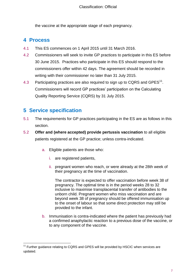the vaccine at the appropriate stage of each pregnancy.

#### <span id="page-6-0"></span>**4 Process**

- 4.1 This ES commences on 1 April 2015 until 31 March 2016.
- 4.2 Commissioners will seek to invite GP practices to participate in this ES before 30 June 2015. Practices who participate in this ES should respond to the commissioners offer within 42 days. The agreement should be recorded in writing with their commissioner no later than 31 July 2015.
- 4.3 Participating practices are also required to sign up to CQRS and GPES<sup>11</sup>. Commissioners will record GP practices' participation on the Calculating Quality Reporting Service (CQRS) by 31 July 2015.

#### <span id="page-6-1"></span>**5 Service specification**

- 5.1 The requirements for GP practices participating in the ES are as follows in this section.
- 5.2 **Offer and (where accepted) provide pertussis vaccination** to all eligible patients registered at the GP practice; unless contra-indicated.
	- a. Eligible patients are those who:
		- i. are registered patients,
		- ii. pregnant women who reach, or were already at the 28th week of their pregnancy at the time of vaccination.

The contractor is expected to offer vaccination before week 38 of pregnancy. The optimal time is in the period weeks 28 to 32 inclusive to maximise transplacental transfer of antibodies to the unborn child. Pregnant women who miss vaccination and are beyond week 38 of pregnancy should be offered immunisation up to the onset of labour so that some direct protection may still be provided to the infant.

b. Immunisation is contra-indicated where the patient has previously had a confirmed anaphylactic reaction to a previous dose of the vaccine, or to any component of the vaccine.

l  $11$  Further guidance relating to CQRS and GPES will be provided by HSCIC when services are updated.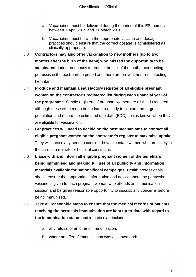- a. Vaccination must be delivered during the period of this ES, namely between 1 April 2015 and 31 March 2016.
- b. Vaccination must be with the appropriate vaccine and dosage: practices should ensure that the correct dosage is administered as clinically appropriate.
- 5.3 **Contractors may also offer vaccination to new mothers (up to two months after the birth of the baby) who missed the opportunity to be vaccinated** during pregnancy to reduce the risk of the mother contracting pertussis in the post-partum period and therefore prevent her from infecting her infant.
- 5.4 **Produce and maintain a satisfactory register of all eligible pregnant women on the contractor's registered list during each financial year of the programme.** Simple registers of pregnant women are all that is required, although these will need to be updated regularly to capture the target population and record the estimated due date (EDD) so it is known when they are eligible for vaccination.
- 5.5 **GP practices will need to decide on the best mechanisms to contact all eligible pregnant women on the contractor's register to maximise uptake.**  They will particularly need to consider how to contact women who are solely in the care of a midwife or hospital consultant.
- 5.6 **Liaise with and inform all eligible pregnant women of the benefits of being immunised and making full use of all publicity and information materials available for national/local campaigns.** Health professionals should ensure that appropriate information and advice about the pertussis vaccine is given to each pregnant woman who attends an immunisation session and be given reasonable opportunity to discuss any concerns before being immunised.
- 5.7 **Take all reasonable steps to ensure that the medical records of patients receiving the pertussis immunisation are kept up-to-date with regard to the immunisation status** and in particular, include:
	- a. any refusal of an offer of immunisation.
	- b. where an offer of immunisation was accepted and: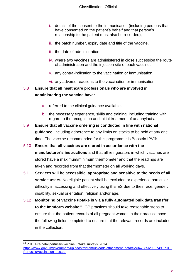- i. details of the consent to the immunisation (including persons that have consented on the patient's behalf and that person's relationship to the patient must also be recorded),
- ii. the batch number, expiry date and title of the vaccine,
- iii. the date of administration,
- iv. where two vaccines are administered in close succession the route of administration and the injection site of each vaccine,
- v. any contra-indication to the vaccination or immunisation,
- vi. any adverse reactions to the vaccination or immunisation.

#### 5.8 **Ensure that all healthcare professionals who are involved in administering the vaccine have:**

- a. referred to the clinical guidance available.
- b. the necessary experience, skills and training, including training with regard to the recognition and initial treatment of anaphylaxis.
- 5.9 **Ensure that all vaccine ordering is conducted in line with national guidance,** including adherence to any limits on stocks to be held at any one time. The vaccine recommended for this programme is Boostrix-IPV®.
- 5.10 **Ensure that all vaccines are stored in accordance with the manufacturer's instructions** and that all refrigerators in which vaccines are stored have a maximum/minimum thermometer and that the readings are taken and recorded from that thermometer on all working days.
- 5.11 **Services will be accessible, appropriate and sensitive to the needs of all service users.** No eligible patient shall be excluded or experience particular difficulty in accessing and effectively using this ES due to their race, gender, disability, sexual orientation, religion and/or age.
- 5.12 **Monitoring of vaccine uptake is via a fully automated bulk data transfer to the Immform website**<sup>12</sup> . GP practices should take reasonable steps to ensure that the patient records of all pregnant women in their practice have the following fields completed to ensure that the relevant records are included in the collection:

l  $12$  PHE. Pre-natal pertussis vaccine uptake surveys. 2014. [https://www.gov.uk/government/uploads/system/uploads/attachment\\_data/file/347085/2902749\\_PHE\\_](https://www.gov.uk/government/uploads/system/uploads/attachment_data/file/347085/2902749_PHE_PertussisVaccination_acc.pdf) [PertussisVaccination\\_acc.pdf](https://www.gov.uk/government/uploads/system/uploads/attachment_data/file/347085/2902749_PHE_PertussisVaccination_acc.pdf)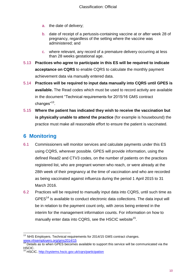- a. the date of delivery;
- b. date of receipt of a pertussis-containing vaccine at or after week 28 of pregnancy, regardless of the setting where the vaccine was administered; and
- c. where relevant, any record of a premature delivery occurring at less than 28 weeks gestational age.
- 5.13 **Practices who agree to participate in this ES will be required to indicate acceptance on CQRS** to enable CQRS to calculate the monthly payment achievement data via manually entered data.
- 5.14 **Practices will be required to input data manually into CQRS until GPES is available.** The Read codes which must be used to record activity are available in the document "Technical requirements for 2015/16 GMS contract changes"<sup>13</sup>.
- 5.15 **Where the patient has indicated they wish to receive the vaccination but is physically unable to attend the practice** (for example is housebound) the practice must make all reasonable effort to ensure the patient is vaccinated.

#### <span id="page-9-0"></span>**6 Monitoring**

- 6.1 Commissioners will monitor services and calculate payments under this ES using CQRS, wherever possible. GPES will provide information, using the defined Read2 and CTV3 codes, on the number of patients on the practices registered list, who are pregnant women who reach, or were already at the 28th week of their pregnancy at the time of vaccination and who are recorded as being vaccinated against influenza during the period 1 April 2015 to 31 March 2016.
- 6.2 Practices will be required to manually input data into CQRS, until such time as  $GPES<sup>14</sup>$  is available to conduct electronic data collections. The data input will be in relation to the payment count only, with zeros being entered in the interim for the management information counts. For information on how to manually enter data into CQRS, see the HSCIC website<sup>15</sup>.

l  $13$  NHS Employers. Technical requirements for 2014/15 GMS contract changes. [www.nhsemployers.org/gms2014/15](http://www.nhsemployers.org/gms2014/15)

 $14$  Details as to when GPES becomes available to support this service will be communicated via the HSCIC.

<sup>&</sup>lt;sup>15</sup> HSCIC. http://systems.hscic.gov.uk/cgrs/participation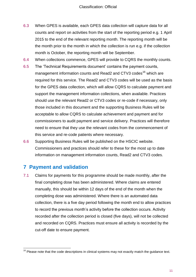- 6.3 When GPES is available, each GPES data collection will capture data for all counts and report on activities from the start of the reporting period e.g. 1 April 2015 to the end of the relevant reporting month. The reporting month will be the month prior to the month in which the collection is run e.g. if the collection month is October, the reporting month will be September.
- 6.4 When collections commence, GPES will provide to CQRS the monthly counts.
- 6.5 The 'Technical Requirements document' contains the payment counts, management information counts and Read2 and CTV3 codes<sup>16</sup> which are required for this service. The Read2 and CTV3 codes will be used as the basis for the GPES data collection, which will allow CQRS to calculate payment and support the management information collections, when available. Practices should use the relevant Read2 or CTV3 codes or re-code if necessary, only those included in this document and the supporting Business Rules will be acceptable to allow CQRS to calculate achievement and payment and for commissioners to audit payment and service delivery. Practices will therefore need to ensure that they use the relevant codes from the commencement of this service and re-code patients where necessary.
- 6.6 Supporting Business Rules will be published on the HSCIC website. Commissioners and practices should refer to these for the most up to date information on management information counts, Read2 and CTV3 codes.

#### <span id="page-10-0"></span>**7 Payment and validation**

l

7.1 Claims for payments for this programme should be made monthly, after the final completing dose has been administered. Where claims are entered manually, this should be within 12 days of the end of the month when the completing dose was administered. Where there is an automated data collection, there is a five day period following the month end to allow practices to record the previous month's activity before the collection occurs. Activity recorded after the collection period is closed (five days), will not be collected and recorded on CQRS. Practices must ensure all activity is recorded by the cut-off date to ensure payment.

 $16$  Please note that the code descriptions in clinical systems may not exactly match the guidance text.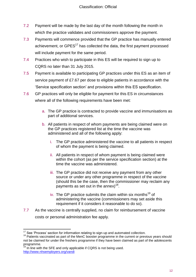- 7.2 Payment will be made by the last day of the month following the month in which the practice validates and commissioners approve the payment.
- 7.3 Payments will commence provided that the GP practice has manually entered achievement, or GPES<sup>17</sup> has collected the data, the first payment processed will include payment for the same period.
- 7.4 Practices who wish to participate in this ES will be required to sign up to CQRS no later than 31 July 2015.
- 7.5 Payment is available to participating GP practices under this ES as an item of service payment of £7.67 per dose to eligible patients in accordance with the 'Service specification section' and provisions within this ES specification.
- 7.6 GP practices will only be eligible for payment for this ES in circumstances where all of the following requirements have been met:
	- a. The GP practice is contracted to provide vaccine and immunisations as part of additional services.
	- b. All patients in respect of whom payments are being claimed were on the GP practices registered list at the time the vaccine was administered and all of the following apply:
		- i. The GP practice administered the vaccine to all patients in respect of whom the payment is being claimed.
		- ii. All patients in respect of whom payment is being claimed were within the cohort (as per the service specification section) at the time the vaccine was administered.
		- iii. The GP practice did not receive any payment from any other source or under any other programme in respect of the vaccine (should this be the case, then the commissioner may reclaim any payments as set out in the annex) $^{18}$ .
		- iv. The GP practice submits the claim within six months<sup>19</sup> of administering the vaccine (commissioners may set aside this requirement if it considers it reasonable to do so).
- 7.7 As the vaccine is centrally supplied, no claim for reimbursement of vaccine costs or personal administration fee apply.

 $\overline{a}$  $17$  See 'Process' section for information relating to sign-up and automated collection.

<sup>&</sup>lt;sup>18</sup> Patients vaccinated as part of the MenC booster programme in the current or previous years should not be claimed for under the freshers programme if they have been claimed as part of the adolescents programme.

In line with the SFE and only applicable if CQRS is not being used. [http://www.nhsemployers.org/v](http://www.nhsemployers.org/)andi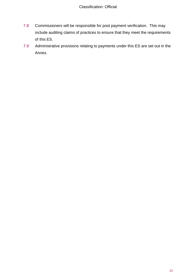- 7.8 Commissioners will be responsible for post payment verification. This may include auditing claims of practices to ensure that they meet the requirements of this ES.
- 7.9 Administrative provisions relating to payments under this ES are set out in the Annex.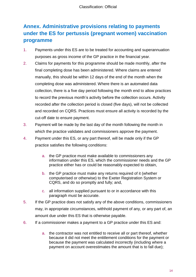## <span id="page-13-0"></span>**Annex. Administrative provisions relating to payments under the ES for pertussis (pregnant women) vaccination programme**

- 1. Payments under this ES are to be treated for accounting and superannuation purposes as gross income of the GP practice in the financial year.
- 2. Claims for payments for this programme should be made monthly, after the final completing dose has been administered. Where claims are entered manually, this should be within 12 days of the end of the month when the completing dose was administered. Where there is an automated data collection, there is a five day period following the month end to allow practices to record the previous month's activity before the collection occurs. Activity recorded after the collection period is closed (five days), will not be collected and recorded on CQRS. Practices must ensure all activity is recorded by the cut-off date to ensure payment.
- 3. Payment will be made by the last day of the month following the month in which the practice validates and commissioners approve the payment.
- 4. Payment under this ES, or any part thereof, will be made only if the GP practice satisfies the following conditions:
	- a. the GP practice must make available to commissioners any information under this ES, which the commissioner needs and the GP practice either has or could be reasonably expected to obtain,
	- b. the GP practice must make any returns required of it (whether computerised or otherwise) to the Exeter Registration System or CQRS, and do so promptly and fully; and,
	- c. all information supplied pursuant to or in accordance with this paragraph must be accurate.
- 5. If the GP practice does not satisfy any of the above conditions, commissioners may, in appropriate circumstances, withhold payment of any, or any part of, an amount due under this ES that is otherwise payable.
- 6. If a commissioner makes a payment to a GP practice under this ES and:
	- a. the contractor was not entitled to receive all or part thereof, whether because it did not meet the entitlement conditions for the payment or because the payment was calculated incorrectly (including where a payment on account overestimates the amount that is to fall due);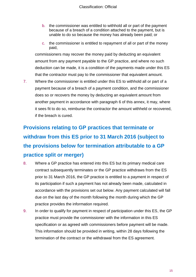- b. the commissioner was entitled to withhold all or part of the payment because of a breach of a condition attached to the payment, but is unable to do so because the money has already been paid; or
- c. the commissioner is entitled to repayment of all or part of the money paid,

commissioners may recover the money paid by deducting an equivalent amount from any payment payable to the GP practice, and where no such deduction can be made, it is a condition of the payments made under this ES that the contractor must pay to the commissioner that equivalent amount.

7. Where the commissioner is entitled under this ES to withhold all or part of a payment because of a breach of a payment condition, and the commissioner does so or recovers the money by deducting an equivalent amount from another payment in accordance with paragraph 6 of this annex, it may, where it sees fit to do so, reimburse the contractor the amount withheld or recovered, if the breach is cured.

# **Provisions relating to GP practices that terminate or withdraw from this ES prior to 31 March 2016 (subject to the provisions below for termination attributable to a GP practice split or merger)**

- 8. Where a GP practice has entered into this ES but its primary medical care contract subsequently terminates or the GP practice withdraws from the ES prior to 31 March 2016, the GP practice is entitled to a payment in respect of its participation if such a payment has not already been made, calculated in accordance with the provisions set out below. Any payment calculated will fall due on the last day of the month following the month during which the GP practice provides the information required.
- 9. In order to qualify for payment in respect of participation under this ES, the GP practice must provide the commissioner with the information in this ES specification or as agreed with commissioners before payment will be made. This information should be provided in writing, within 28 days following the termination of the contract or the withdrawal from the ES agreement.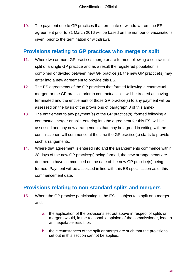10. The payment due to GP practices that terminate or withdraw from the ES agreement prior to 31 March 2016 will be based on the number of vaccinations given, prior to the termination or withdrawal.

#### **Provisions relating to GP practices who merge or split**

- 11. Where two or more GP practices merge or are formed following a contractual split of a single GP practice and as a result the registered population is combined or divided between new GP practice(s), the new GP practice(s) may enter into a new agreement to provide this ES.
- 12. The ES agreements of the GP practices that formed following a contractual merger, or the GP practice prior to contractual split, will be treated as having terminated and the entitlement of those GP practice(s) to any payment will be assessed on the basis of the provisions of paragraph 8 of this annex.
- 13. The entitlement to any payment(s) of the GP practice(s), formed following a contractual merger or split, entering into the agreement for this ES, will be assessed and any new arrangements that may be agreed in writing withthe commissioner, will commence at the time the GP practice(s) starts to provide such arrangements.
- 14. Where that agreement is entered into and the arrangements commence within 28 days of the new GP practice(s) being formed, the new arrangements are deemed to have commenced on the date of the new GP practice(s) being formed. Payment will be assessed in line with this ES specification as of this commencement date.

#### **Provisions relating to non-standard splits and mergers**

- 15. Where the GP practice participating in the ES is subject to a split or a merger and:
	- a. the application of the provisions set out above in respect of splits or mergers would, in the reasonable opinion of the commissioner, lead to an inequitable result; or,
	- b. the circumstances of the split or merger are such that the provisions set out in this section cannot be applied,